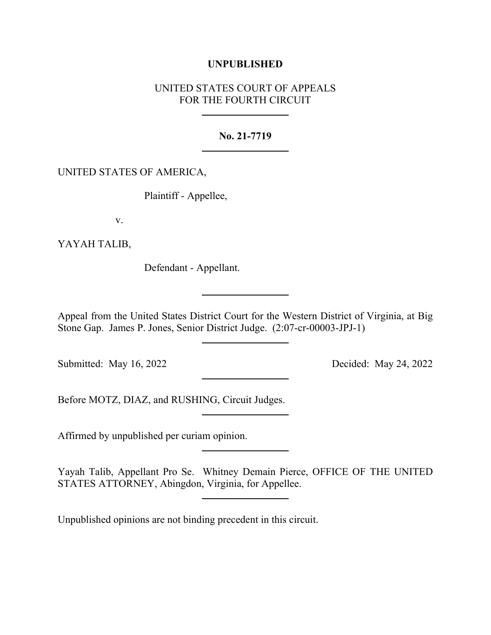## **UNPUBLISHED**

## UNITED STATES COURT OF APPEALS FOR THE FOURTH CIRCUIT

## **No. 21-7719**

## UNITED STATES OF AMERICA,

Plaintiff - Appellee,

v.

YAYAH TALIB,

Defendant - Appellant.

Appeal from the United States District Court for the Western District of Virginia, at Big Stone Gap. James P. Jones, Senior District Judge. (2:07-cr-00003-JPJ-1)

Submitted: May 16, 2022 Decided: May 24, 2022

Before MOTZ, DIAZ, and RUSHING, Circuit Judges.

Affirmed by unpublished per curiam opinion.

Yayah Talib, Appellant Pro Se. Whitney Demain Pierce, OFFICE OF THE UNITED STATES ATTORNEY, Abingdon, Virginia, for Appellee.

Unpublished opinions are not binding precedent in this circuit.